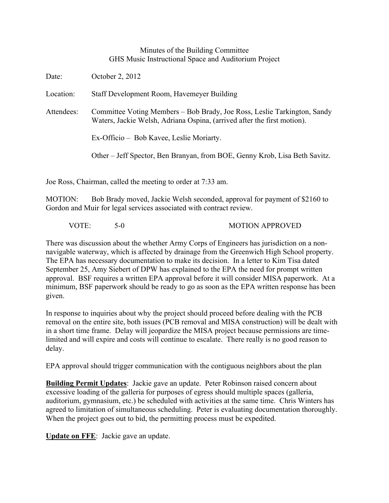## Minutes of the Building Committee GHS Music Instructional Space and Auditorium Project

| Date:      | October 2, 2012                                                                                                                                     |
|------------|-----------------------------------------------------------------------------------------------------------------------------------------------------|
| Location:  | Staff Development Room, Havemeyer Building                                                                                                          |
| Attendees: | Committee Voting Members – Bob Brady, Joe Ross, Leslie Tarkington, Sandy<br>Waters, Jackie Welsh, Adriana Ospina, (arrived after the first motion). |
|            | Ex-Officio – Bob Kavee, Leslie Moriarty.                                                                                                            |
|            | Other – Jeff Spector, Ben Branyan, from BOE, Genny Krob, Lisa Beth Savitz.                                                                          |
|            |                                                                                                                                                     |

Joe Ross, Chairman, called the meeting to order at 7:33 am.

MOTION: Bob Brady moved, Jackie Welsh seconded, approval for payment of \$2160 to Gordon and Muir for legal services associated with contract review.

VOTE: 5-0 MOTION APPROVED

There was discussion about the whether Army Corps of Engineers has jurisdiction on a nonnavigable waterway, which is affected by drainage from the Greenwich High School property. The EPA has necessary documentation to make its decision. In a letter to Kim Tisa dated September 25, Amy Siebert of DPW has explained to the EPA the need for prompt written approval. BSF requires a written EPA approval before it will consider MISA paperwork. At a minimum, BSF paperwork should be ready to go as soon as the EPA written response has been given.

In response to inquiries about why the project should proceed before dealing with the PCB removal on the entire site, both issues (PCB removal and MISA construction) will be dealt with in a short time frame. Delay will jeopardize the MISA project because permissions are timelimited and will expire and costs will continue to escalate. There really is no good reason to delay.

EPA approval should trigger communication with the contiguous neighbors about the plan

**Building Permit Updates**: Jackie gave an update. Peter Robinson raised concern about excessive loading of the galleria for purposes of egress should multiple spaces (galleria, auditorium, gymnasium, etc.) be scheduled with activities at the same time. Chris Winters has agreed to limitation of simultaneous scheduling. Peter is evaluating documentation thoroughly. When the project goes out to bid, the permitting process must be expedited.

**Update on FFE**: Jackie gave an update.